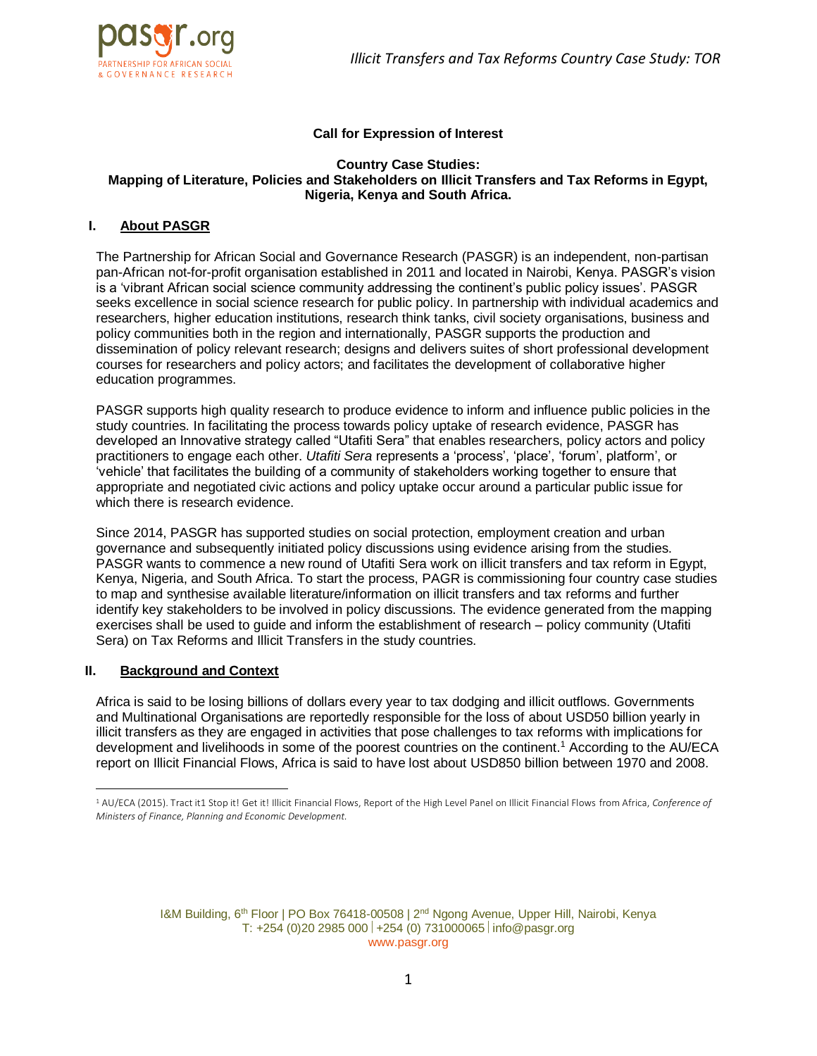

### **Call for Expression of Interest**

#### **Country Case Studies: Mapping of Literature, Policies and Stakeholders on Illicit Transfers and Tax Reforms in Egypt, Nigeria, Kenya and South Africa.**

## **I. About PASGR**

The Partnership for African Social and Governance Research (PASGR) is an independent, non-partisan pan-African not-for-profit organisation established in 2011 and located in Nairobi, Kenya. PASGR's vision is a 'vibrant African social science community addressing the continent's public policy issues'. PASGR seeks excellence in social science research for public policy. In partnership with individual academics and researchers, higher education institutions, research think tanks, civil society organisations, business and policy communities both in the region and internationally, PASGR supports the production and dissemination of policy relevant research; designs and delivers suites of short professional development courses for researchers and policy actors; and facilitates the development of collaborative higher education programmes.

PASGR supports high quality research to produce evidence to inform and influence public policies in the study countries. In facilitating the process towards policy uptake of research evidence, PASGR has developed an Innovative strategy called "Utafiti Sera" that enables researchers, policy actors and policy practitioners to engage each other. *Utafiti Sera* represents a 'process', 'place', 'forum', platform', or 'vehicle' that facilitates the building of a community of stakeholders working together to ensure that appropriate and negotiated civic actions and policy uptake occur around a particular public issue for which there is research evidence.

Since 2014, PASGR has supported studies on social protection, employment creation and urban governance and subsequently initiated policy discussions using evidence arising from the studies. PASGR wants to commence a new round of Utafiti Sera work on illicit transfers and tax reform in Egypt, Kenya, Nigeria, and South Africa. To start the process, PAGR is commissioning four country case studies to map and synthesise available literature/information on illicit transfers and tax reforms and further identify key stakeholders to be involved in policy discussions. The evidence generated from the mapping exercises shall be used to guide and inform the establishment of research – policy community (Utafiti Sera) on Tax Reforms and Illicit Transfers in the study countries.

## **II. Background and Context**

 $\overline{a}$ 

Africa is said to be losing billions of dollars every year to tax dodging and illicit outflows. Governments and Multinational Organisations are reportedly responsible for the loss of about USD50 billion yearly in illicit transfers as they are engaged in activities that pose challenges to tax reforms with implications for development and livelihoods in some of the poorest countries on the continent.<sup>1</sup> According to the AU/ECA report on Illicit Financial Flows, Africa is said to have lost about USD850 billion between 1970 and 2008.

I&M Building, 6<sup>th</sup> Floor | PO Box 76418-00508 | 2<sup>nd</sup> Ngong Avenue, Upper Hill, Nairobi, Kenya T:  $+254$  (0)20 2985 000 +254 (0) 731000065 info@pasgr.org www.pasgr.org

<sup>1</sup> AU/ECA (2015). Tract it1 Stop it! Get it! Illicit Financial Flows, Report of the High Level Panel on Illicit Financial Flows from Africa, *Conference of Ministers of Finance, Planning and Economic Development.*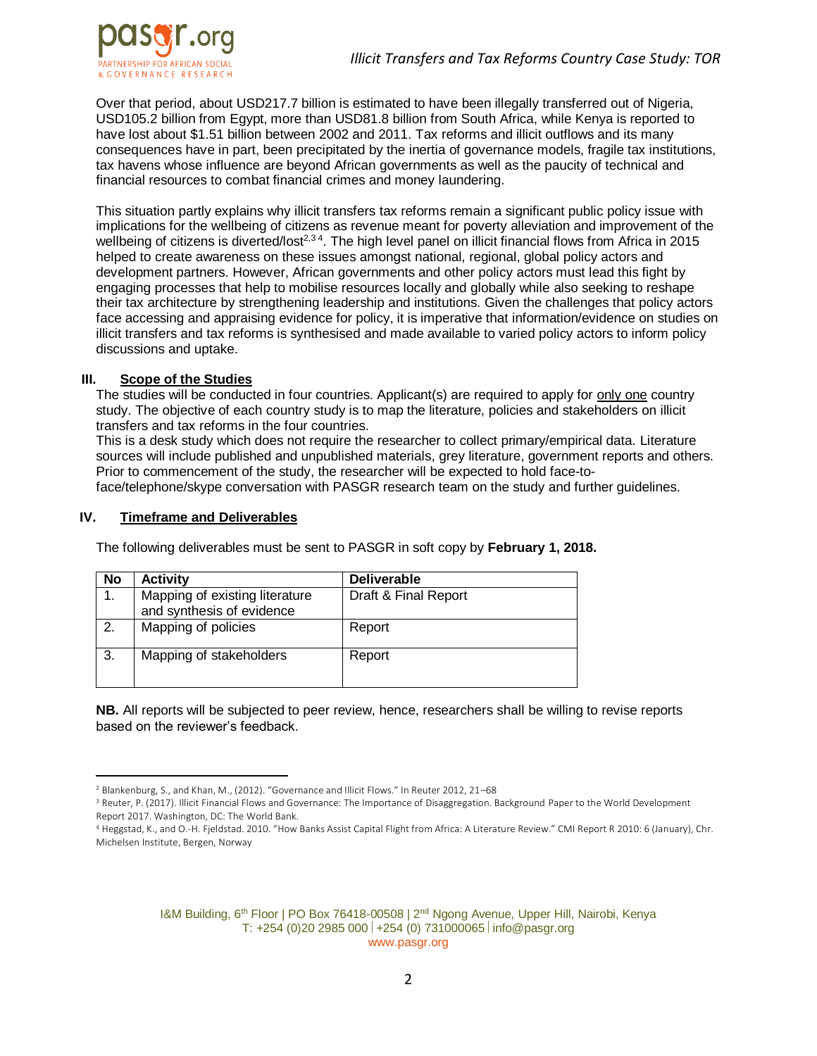

Over that period, about USD217.7 billion is estimated to have been illegally transferred out of Nigeria, USD105.2 billion from Egypt, more than USD81.8 billion from South Africa, while Kenya is reported to have lost about \$1.51 billion between 2002 and 2011. Tax reforms and illicit outflows and its many consequences have in part, been precipitated by the inertia of governance models, fragile tax institutions, tax havens whose influence are beyond African governments as well as the paucity of technical and financial resources to combat financial crimes and money laundering.

This situation partly explains why illicit transfers tax reforms remain a significant public policy issue with implications for the wellbeing of citizens as revenue meant for poverty alleviation and improvement of the wellbeing of citizens is diverted/lost<sup>2,34</sup>. The high level panel on illicit financial flows from Africa in 2015 helped to create awareness on these issues amongst national, regional, global policy actors and development partners. However, African governments and other policy actors must lead this fight by engaging processes that help to mobilise resources locally and globally while also seeking to reshape their tax architecture by strengthening leadership and institutions. Given the challenges that policy actors face accessing and appraising evidence for policy, it is imperative that information/evidence on studies on illicit transfers and tax reforms is synthesised and made available to varied policy actors to inform policy discussions and uptake.

#### **III. Scope of the Studies**

The studies will be conducted in four countries. Applicant(s) are required to apply for only one country study. The objective of each country study is to map the literature, policies and stakeholders on illicit transfers and tax reforms in the four countries.

This is a desk study which does not require the researcher to collect primary/empirical data. Literature sources will include published and unpublished materials, grey literature, government reports and others. Prior to commencement of the study, the researcher will be expected to hold face-toface/telephone/skype conversation with PASGR research team on the study and further guidelines.

### **IV. Timeframe and Deliverables**

 $\overline{a}$ 

The following deliverables must be sent to PASGR in soft copy by **February 1, 2018.**

| No | <b>Activity</b>                                             | <b>Deliverable</b>   |
|----|-------------------------------------------------------------|----------------------|
| 1. | Mapping of existing literature<br>and synthesis of evidence | Draft & Final Report |
| 2. | Mapping of policies                                         | Report               |
| 3. | Mapping of stakeholders                                     | Report               |

**NB.** All reports will be subjected to peer review, hence, researchers shall be willing to revise reports based on the reviewer's feedback.

I&M Building, 6<sup>th</sup> Floor | PO Box 76418-00508 | 2<sup>nd</sup> Ngong Avenue, Upper Hill, Nairobi, Kenya T:  $+254$  (0)20 2985 000 +254 (0) 731000065 info@pasgr.org www.pasgr.org

<sup>2</sup> Blankenburg, S., and Khan, M., (2012). "Governance and Illicit Flows." In Reuter 2012, 21–68

<sup>&</sup>lt;sup>3</sup> Reuter, P. (2017). Illicit Financial Flows and Governance: The Importance of Disaggregation. Background Paper to the World Development Report 2017. Washington, DC: The World Bank.

<sup>4</sup> Heggstad, K., and O.-H. Fjeldstad. 2010. "How Banks Assist Capital Flight from Africa: A Literature Review." CMI Report R 2010: 6 (January), Chr. Michelsen Institute, Bergen, Norway